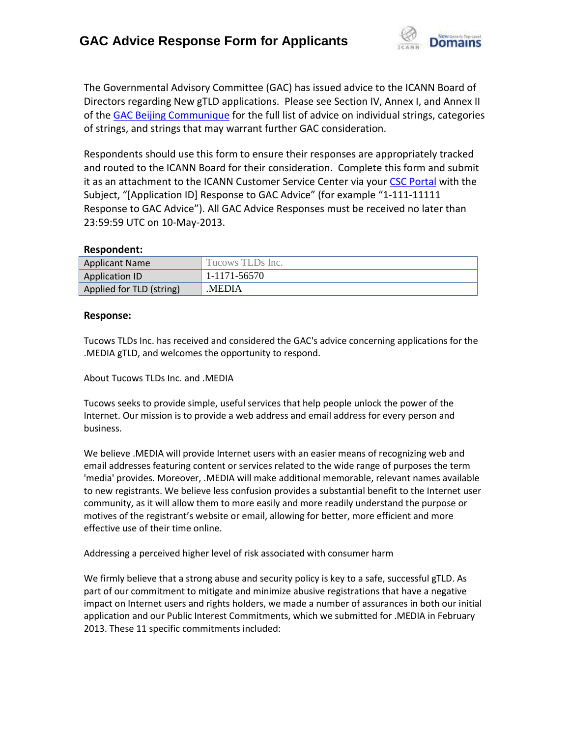

The Governmental Advisory Committee (GAC) has issued advice to the ICANN Board of Directors regarding New gTLD applications. Please see Section IV, Annex I, and Annex II of th[e GAC Beijing Communique](http://www.icann.org/en/news/correspondence/gac-to-board-18apr13-en.pdf) for the full list of advice on individual strings, categories of strings, and strings that may warrant further GAC consideration.

Respondents should use this form to ensure their responses are appropriately tracked and routed to the ICANN Board for their consideration. Complete this form and submit it as an attachment to the ICANN Customer Service Center via your CSC [Portal](https://myicann.secure.force.com/) with the Subject, "[Application ID] Response to GAC Advice" (for example "1-111-11111 Response to GAC Advice"). All GAC Advice Responses must be received no later than 23:59:59 UTC on 10-May-2013.

#### **Respondent:**

| <b>Applicant Name</b>    | Tucows TLDs Inc. |
|--------------------------|------------------|
| <b>Application ID</b>    | 1-1171-56570     |
| Applied for TLD (string) | MEDIA.           |

### **Response:**

Tucows TLDs Inc. has received and considered the GAC's advice concerning applications for the .MEDIA gTLD, and welcomes the opportunity to respond.

About Tucows TLDs Inc. and .MEDIA

Tucows seeks to provide simple, useful services that help people unlock the power of the Internet. Our mission is to provide a web address and email address for every person and business.

We believe .MEDIA will provide Internet users with an easier means of recognizing web and email addresses featuring content or services related to the wide range of purposes the term 'media' provides. Moreover, .MEDIA will make additional memorable, relevant names available to new registrants. We believe less confusion provides a substantial benefit to the Internet user community, as it will allow them to more easily and more readily understand the purpose or motives of the registrant's website or email, allowing for better, more efficient and more effective use of their time online.

Addressing a perceived higher level of risk associated with consumer harm

We firmly believe that a strong abuse and security policy is key to a safe, successful gTLD. As part of our commitment to mitigate and minimize abusive registrations that have a negative impact on Internet users and rights holders, we made a number of assurances in both our initial application and our Public Interest Commitments, which we submitted for .MEDIA in February 2013. These 11 specific commitments included: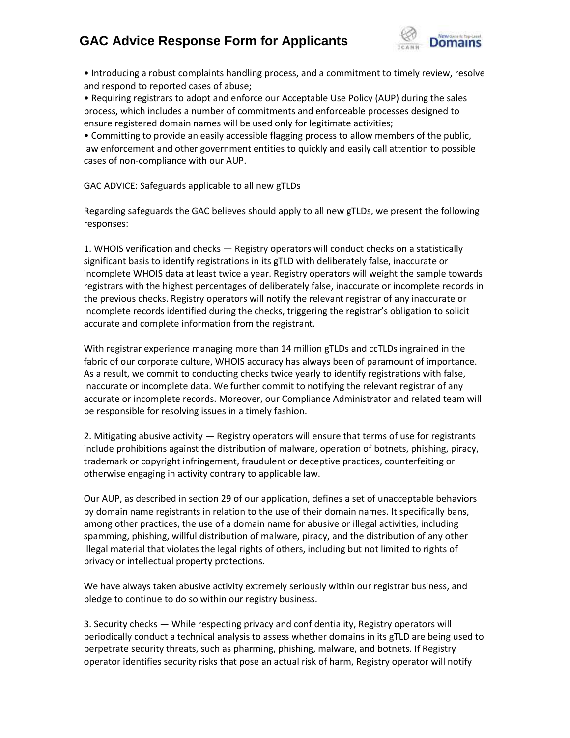

• Introducing a robust complaints handling process, and a commitment to timely review, resolve and respond to reported cases of abuse;

• Requiring registrars to adopt and enforce our Acceptable Use Policy (AUP) during the sales process, which includes a number of commitments and enforceable processes designed to ensure registered domain names will be used only for legitimate activities;

• Committing to provide an easily accessible flagging process to allow members of the public, law enforcement and other government entities to quickly and easily call attention to possible cases of non-compliance with our AUP.

GAC ADVICE: Safeguards applicable to all new gTLDs

Regarding safeguards the GAC believes should apply to all new gTLDs, we present the following responses:

1. WHOIS verification and checks — Registry operators will conduct checks on a statistically significant basis to identify registrations in its gTLD with deliberately false, inaccurate or incomplete WHOIS data at least twice a year. Registry operators will weight the sample towards registrars with the highest percentages of deliberately false, inaccurate or incomplete records in the previous checks. Registry operators will notify the relevant registrar of any inaccurate or incomplete records identified during the checks, triggering the registrar's obligation to solicit accurate and complete information from the registrant.

With registrar experience managing more than 14 million gTLDs and ccTLDs ingrained in the fabric of our corporate culture, WHOIS accuracy has always been of paramount of importance. As a result, we commit to conducting checks twice yearly to identify registrations with false, inaccurate or incomplete data. We further commit to notifying the relevant registrar of any accurate or incomplete records. Moreover, our Compliance Administrator and related team will be responsible for resolving issues in a timely fashion.

2. Mitigating abusive activity — Registry operators will ensure that terms of use for registrants include prohibitions against the distribution of malware, operation of botnets, phishing, piracy, trademark or copyright infringement, fraudulent or deceptive practices, counterfeiting or otherwise engaging in activity contrary to applicable law.

Our AUP, as described in section 29 of our application, defines a set of unacceptable behaviors by domain name registrants in relation to the use of their domain names. It specifically bans, among other practices, the use of a domain name for abusive or illegal activities, including spamming, phishing, willful distribution of malware, piracy, and the distribution of any other illegal material that violates the legal rights of others, including but not limited to rights of privacy or intellectual property protections.

We have always taken abusive activity extremely seriously within our registrar business, and pledge to continue to do so within our registry business.

3. Security checks — While respecting privacy and confidentiality, Registry operators will periodically conduct a technical analysis to assess whether domains in its gTLD are being used to perpetrate security threats, such as pharming, phishing, malware, and botnets. If Registry operator identifies security risks that pose an actual risk of harm, Registry operator will notify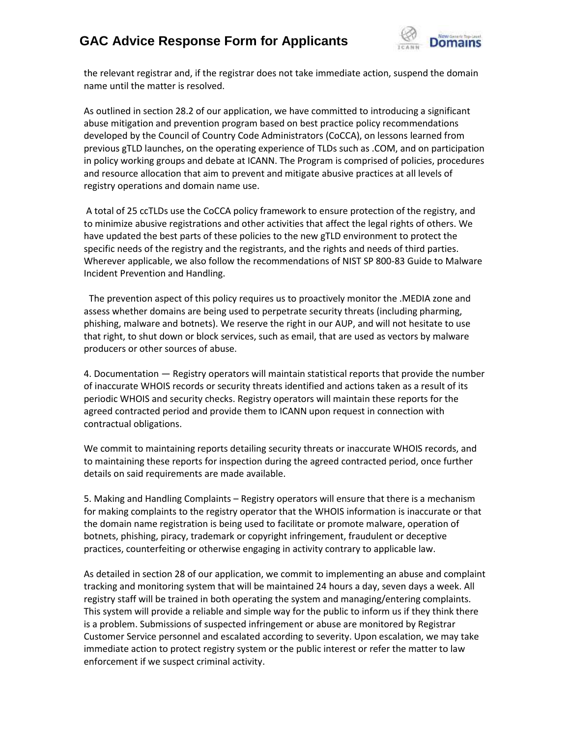

the relevant registrar and, if the registrar does not take immediate action, suspend the domain name until the matter is resolved.

As outlined in section 28.2 of our application, we have committed to introducing a significant abuse mitigation and prevention program based on best practice policy recommendations developed by the Council of Country Code Administrators (CoCCA), on lessons learned from previous gTLD launches, on the operating experience of TLDs such as .COM, and on participation in policy working groups and debate at ICANN. The Program is comprised of policies, procedures and resource allocation that aim to prevent and mitigate abusive practices at all levels of registry operations and domain name use.

A total of 25 ccTLDs use the CoCCA policy framework to ensure protection of the registry, and to minimize abusive registrations and other activities that affect the legal rights of others. We have updated the best parts of these policies to the new gTLD environment to protect the specific needs of the registry and the registrants, and the rights and needs of third parties. Wherever applicable, we also follow the recommendations of NIST SP 800-83 Guide to Malware Incident Prevention and Handling.

The prevention aspect of this policy requires us to proactively monitor the .MEDIA zone and assess whether domains are being used to perpetrate security threats (including pharming, phishing, malware and botnets). We reserve the right in our AUP, and will not hesitate to use that right, to shut down or block services, such as email, that are used as vectors by malware producers or other sources of abuse.

4. Documentation — Registry operators will maintain statistical reports that provide the number of inaccurate WHOIS records or security threats identified and actions taken as a result of its periodic WHOIS and security checks. Registry operators will maintain these reports for the agreed contracted period and provide them to ICANN upon request in connection with contractual obligations.

We commit to maintaining reports detailing security threats or inaccurate WHOIS records, and to maintaining these reports for inspection during the agreed contracted period, once further details on said requirements are made available.

5. Making and Handling Complaints – Registry operators will ensure that there is a mechanism for making complaints to the registry operator that the WHOIS information is inaccurate or that the domain name registration is being used to facilitate or promote malware, operation of botnets, phishing, piracy, trademark or copyright infringement, fraudulent or deceptive practices, counterfeiting or otherwise engaging in activity contrary to applicable law.

As detailed in section 28 of our application, we commit to implementing an abuse and complaint tracking and monitoring system that will be maintained 24 hours a day, seven days a week. All registry staff will be trained in both operating the system and managing/entering complaints. This system will provide a reliable and simple way for the public to inform us if they think there is a problem. Submissions of suspected infringement or abuse are monitored by Registrar Customer Service personnel and escalated according to severity. Upon escalation, we may take immediate action to protect registry system or the public interest or refer the matter to law enforcement if we suspect criminal activity.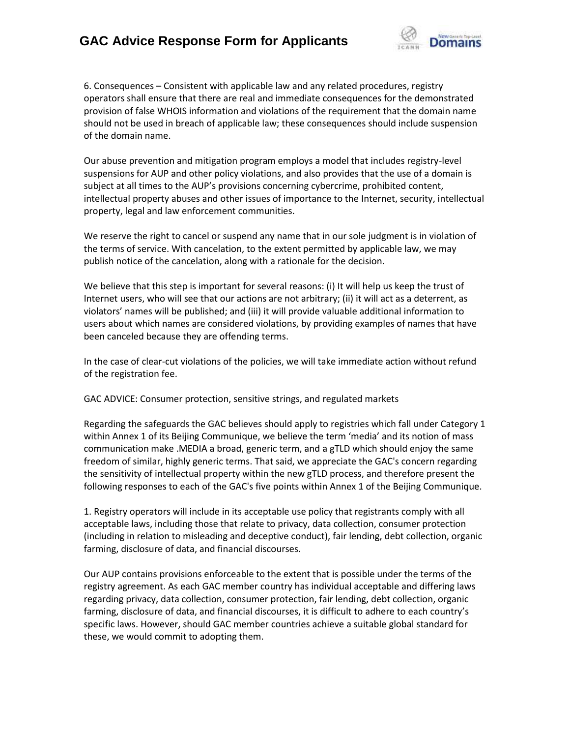

6. Consequences – Consistent with applicable law and any related procedures, registry operators shall ensure that there are real and immediate consequences for the demonstrated provision of false WHOIS information and violations of the requirement that the domain name should not be used in breach of applicable law; these consequences should include suspension of the domain name.

Our abuse prevention and mitigation program employs a model that includes registry-level suspensions for AUP and other policy violations, and also provides that the use of a domain is subject at all times to the AUP's provisions concerning cybercrime, prohibited content, intellectual property abuses and other issues of importance to the Internet, security, intellectual property, legal and law enforcement communities.

We reserve the right to cancel or suspend any name that in our sole judgment is in violation of the terms of service. With cancelation, to the extent permitted by applicable law, we may publish notice of the cancelation, along with a rationale for the decision.

We believe that this step is important for several reasons: (i) It will help us keep the trust of Internet users, who will see that our actions are not arbitrary; (ii) it will act as a deterrent, as violators' names will be published; and (iii) it will provide valuable additional information to users about which names are considered violations, by providing examples of names that have been canceled because they are offending terms.

In the case of clear-cut violations of the policies, we will take immediate action without refund of the registration fee.

GAC ADVICE: Consumer protection, sensitive strings, and regulated markets

Regarding the safeguards the GAC believes should apply to registries which fall under Category 1 within Annex 1 of its Beijing Communique, we believe the term 'media' and its notion of mass communication make .MEDIA a broad, generic term, and a gTLD which should enjoy the same freedom of similar, highly generic terms. That said, we appreciate the GAC's concern regarding the sensitivity of intellectual property within the new gTLD process, and therefore present the following responses to each of the GAC's five points within Annex 1 of the Beijing Communique.

1. Registry operators will include in its acceptable use policy that registrants comply with all acceptable laws, including those that relate to privacy, data collection, consumer protection (including in relation to misleading and deceptive conduct), fair lending, debt collection, organic farming, disclosure of data, and financial discourses.

Our AUP contains provisions enforceable to the extent that is possible under the terms of the registry agreement. As each GAC member country has individual acceptable and differing laws regarding privacy, data collection, consumer protection, fair lending, debt collection, organic farming, disclosure of data, and financial discourses, it is difficult to adhere to each country's specific laws. However, should GAC member countries achieve a suitable global standard for these, we would commit to adopting them.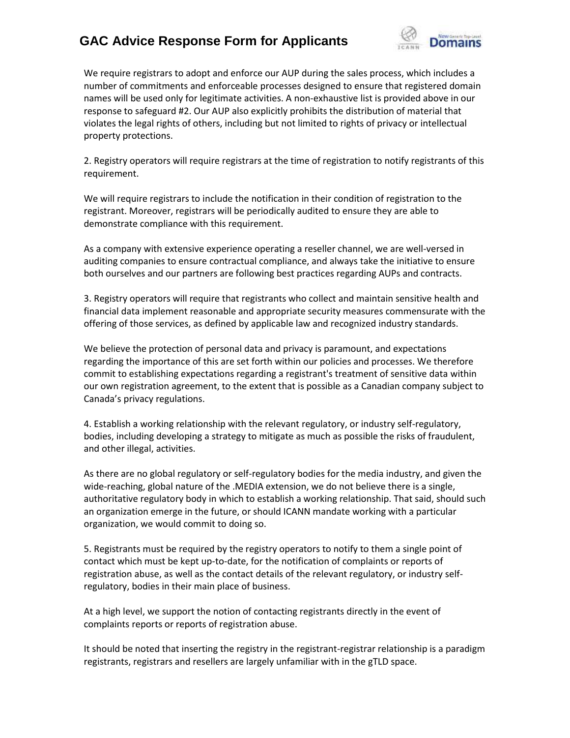

We require registrars to adopt and enforce our AUP during the sales process, which includes a number of commitments and enforceable processes designed to ensure that registered domain names will be used only for legitimate activities. A non-exhaustive list is provided above in our response to safeguard #2. Our AUP also explicitly prohibits the distribution of material that violates the legal rights of others, including but not limited to rights of privacy or intellectual property protections.

2. Registry operators will require registrars at the time of registration to notify registrants of this requirement.

We will require registrars to include the notification in their condition of registration to the registrant. Moreover, registrars will be periodically audited to ensure they are able to demonstrate compliance with this requirement.

As a company with extensive experience operating a reseller channel, we are well-versed in auditing companies to ensure contractual compliance, and always take the initiative to ensure both ourselves and our partners are following best practices regarding AUPs and contracts.

3. Registry operators will require that registrants who collect and maintain sensitive health and financial data implement reasonable and appropriate security measures commensurate with the offering of those services, as defined by applicable law and recognized industry standards.

We believe the protection of personal data and privacy is paramount, and expectations regarding the importance of this are set forth within our policies and processes. We therefore commit to establishing expectations regarding a registrant's treatment of sensitive data within our own registration agreement, to the extent that is possible as a Canadian company subject to Canada's privacy regulations.

4. Establish a working relationship with the relevant regulatory, or industry self-regulatory, bodies, including developing a strategy to mitigate as much as possible the risks of fraudulent, and other illegal, activities.

As there are no global regulatory or self-regulatory bodies for the media industry, and given the wide-reaching, global nature of the .MEDIA extension, we do not believe there is a single, authoritative regulatory body in which to establish a working relationship. That said, should such an organization emerge in the future, or should ICANN mandate working with a particular organization, we would commit to doing so.

5. Registrants must be required by the registry operators to notify to them a single point of contact which must be kept up-to-date, for the notification of complaints or reports of registration abuse, as well as the contact details of the relevant regulatory, or industry selfregulatory, bodies in their main place of business.

At a high level, we support the notion of contacting registrants directly in the event of complaints reports or reports of registration abuse.

It should be noted that inserting the registry in the registrant-registrar relationship is a paradigm registrants, registrars and resellers are largely unfamiliar with in the gTLD space.